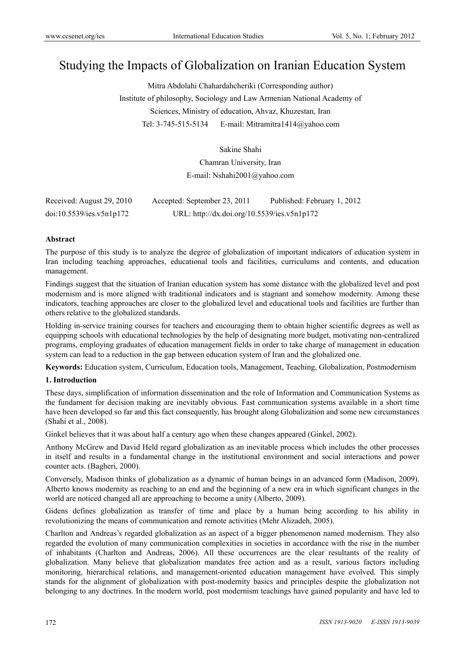# Studying the Impacts of Globalization on Iranian Education System

Mitra Abdolahi Chahardahcheriki (Corresponding author) Institute of philosophy, Sociology and Law Armenian National Academy of Sciences, Ministry of education, Ahvaz, Khuzestan, Iran Tel: 3-745-515-5134 E-mail: Mitramitra1414@yahoo.com

Sakine Shahi

## Chamran University, Iran E-mail: Nshahi2001@yahoo.com

| Received: August 29, 2010 | Accepted: September 23, 2011                | Published: February 1, 2012 |
|---------------------------|---------------------------------------------|-----------------------------|
| doi:10.5539/ies.v5n1p172  | URL: http://dx.doi.org/10.5539/ies.v5n1p172 |                             |

#### **Abstract**

The purpose of this study is to analyze the degree of globalization of important indicators of education system in Iran including teaching approaches, educational tools and facilities, curriculums and contents, and education management.

Findings suggest that the situation of Iranian education system has some distance with the globalized level and post modernism and is more aligned with traditional indicators and is stagnant and somehow modernity. Among these indicators, teaching approaches are closer to the globalized level and educational tools and facilities are further than others relative to the globalized standards.

Holding in-service training courses for teachers and encouraging them to obtain higher scientific degrees as well as equipping schools with educational technologies by the help of designating more budget, motivating non-centralized programs, employing graduates of education management fields in order to take charge of management in education system can lead to a reduction in the gap between education system of Iran and the globalized one.

**Keywords:** Education system, Curriculum, Education tools, Management, Teaching, Globalization, Postmodernism

#### **1. Introduction**

These days, simplification of information dissemination and the role of Information and Communication Systems as the fundament for decision making are inevitably obvious. Fast communication systems available in a short time have been developed so far and this fact consequently, has brought along Globalization and some new circumstances (Shahi et al., 2008).

Ginkel believes that it was about half a century ago when these changes appeared (Ginkel, 2002).

Anthony McGrew and David Held regard globalization as an inevitable process which includes the other processes in itself and results in a fundamental change in the institutional environment and social interactions and power counter acts. (Bagheri, 2000).

Conversely, Madison thinks of globalization as a dynamic of human beings in an advanced form (Madison, 2009). Alberto knows modernity as reaching to an end and the beginning of a new era in which significant changes in the world are noticed changed all are approaching to become a unity (Alberto, 2009).

Gidens defines globalization as transfer of time and place by a human being according to his ability in revolutionizing the means of communication and remote activities (Mehr Alizadeh, 2005).

Charlton and Andreas's regarded globalization as an aspect of a bigger phenomenon named modernism. They also regarded the evolution of many communication complexities in societies in accordance with the rise in the number of inhabitants (Charlton and Andreas, 2006). All these occurrences are the clear resultants of the reality of globalization. Many believe that globalization mandates free action and as a result, various factors including monitoring, hierarchical relations, and management-oriented education management have evolved. This simply stands for the alignment of globalization with post-modernity basics and principles despite the globalization not belonging to any doctrines. In the modern world, post modernism teachings have gained popularity and have led to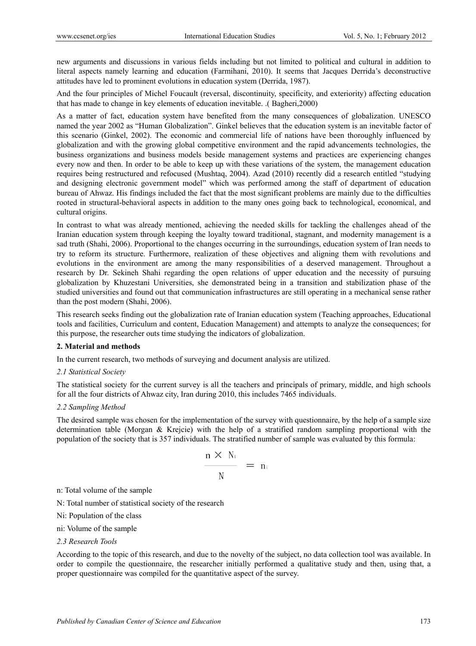new arguments and discussions in various fields including but not limited to political and cultural in addition to literal aspects namely learning and education (Farmihani, 2010). It seems that Jacques Derrida's deconstructive attitudes have led to prominent evolutions in education system (Derrida, 1987).

And the four principles of Michel Foucault (reversal, discontinuity, specificity, and exteriority) affecting education that has made to change in key elements of education inevitable. .( Bagheri,2000)

As a matter of fact, education system have benefited from the many consequences of globalization. UNESCO named the year 2002 as "Human Globalization". Ginkel believes that the education system is an inevitable factor of this scenario (Ginkel, 2002). The economic and commercial life of nations have been thoroughly influenced by globalization and with the growing global competitive environment and the rapid advancements technologies, the business organizations and business models beside management systems and practices are experiencing changes every now and then. In order to be able to keep up with these variations of the system, the management education requires being restructured and refocused (Mushtaq, 2004). Azad (2010) recently did a research entitled "studying and designing electronic government model" which was performed among the staff of department of education bureau of Ahwaz. His findings included the fact that the most significant problems are mainly due to the difficulties rooted in structural-behavioral aspects in addition to the many ones going back to technological, economical, and cultural origins.

In contrast to what was already mentioned, achieving the needed skills for tackling the challenges ahead of the Iranian education system through keeping the loyalty toward traditional, stagnant, and modernity management is a sad truth (Shahi, 2006). Proportional to the changes occurring in the surroundings, education system of Iran needs to try to reform its structure. Furthermore, realization of these objectives and aligning them with revolutions and evolutions in the environment are among the many responsibilities of a deserved management. Throughout a research by Dr. Sekineh Shahi regarding the open relations of upper education and the necessity of pursuing globalization by Khuzestani Universities, she demonstrated being in a transition and stabilization phase of the studied universities and found out that communication infrastructures are still operating in a mechanical sense rather than the post modern (Shahi, 2006).

This research seeks finding out the globalization rate of Iranian education system (Teaching approaches, Educational tools and facilities, Curriculum and content, Education Management) and attempts to analyze the consequences; for this purpose, the researcher outs time studying the indicators of globalization.

#### **2. Material and methods**

In the current research, two methods of surveying and document analysis are utilized.

#### *2.1 Statistical Society*

The statistical society for the current survey is all the teachers and principals of primary, middle, and high schools for all the four districts of Ahwaz city, Iran during 2010, this includes 7465 individuals.

#### *2.2 Sampling Method*

The desired sample was chosen for the implementation of the survey with questionnaire, by the help of a sample size determination table (Morgan & Krejcie) with the help of a stratified random sampling proportional with the population of the society that is 357 individuals. The stratified number of sample was evaluated by this formula:

$$
\frac{n \times N_i}{N} = n_i
$$

n: Total volume of the sample

N: Total number of statistical society of the research

Ni: Population of the class

ni: Volume of the sample

#### *2.3 Research Tools*

According to the topic of this research, and due to the novelty of the subject, no data collection tool was available. In order to compile the questionnaire, the researcher initially performed a qualitative study and then, using that, a proper questionnaire was compiled for the quantitative aspect of the survey.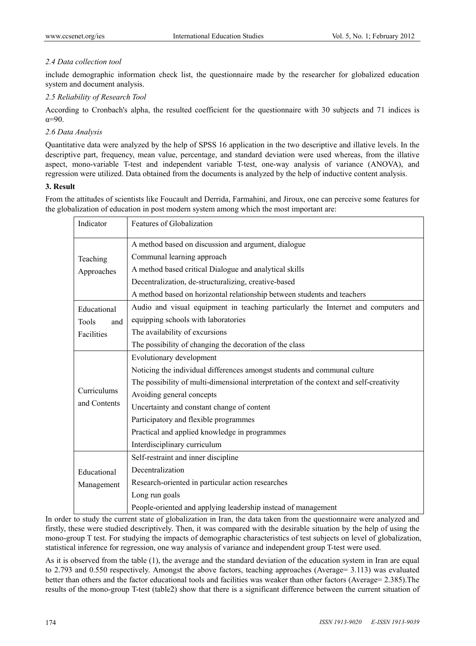## *2.4 Data collection tool*

include demographic information check list, the questionnaire made by the researcher for globalized education system and document analysis.

## *2.5 Reliability of Research Tool*

According to Cronbach's alpha, the resulted coefficient for the questionnaire with 30 subjects and 71 indices is  $\alpha=90$ .

## *2.6 Data Analysis*

Quantitative data were analyzed by the help of SPSS 16 application in the two descriptive and illative levels. In the descriptive part, frequency, mean value, percentage, and standard deviation were used whereas, from the illative aspect, mono-variable T-test and independent variable T-test, one-way analysis of variance (ANOVA), and regression were utilized. Data obtained from the documents is analyzed by the help of inductive content analysis.

## **3. Result**

From the attitudes of scientists like Foucault and Derrida, Farmahini, and Jiroux, one can perceive some features for the globalization of education in post modern system among which the most important are:

| Indicator           | Features of Globalization                                                              |
|---------------------|----------------------------------------------------------------------------------------|
|                     | A method based on discussion and argument, dialogue                                    |
| Teaching            | Communal learning approach                                                             |
| Approaches          | A method based critical Dialogue and analytical skills                                 |
|                     | Decentralization, de-structuralizing, creative-based                                   |
|                     | A method based on horizontal relationship between students and teachers                |
| Educational         | Audio and visual equipment in teaching particularly the Internet and computers and     |
| <b>Tools</b><br>and | equipping schools with laboratories                                                    |
| Facilities          | The availability of excursions                                                         |
|                     | The possibility of changing the decoration of the class                                |
|                     | Evolutionary development                                                               |
|                     | Noticing the individual differences amongst students and communal culture              |
|                     | The possibility of multi-dimensional interpretation of the context and self-creativity |
| Curriculums         | Avoiding general concepts                                                              |
| and Contents        | Uncertainty and constant change of content                                             |
|                     | Participatory and flexible programmes                                                  |
|                     | Practical and applied knowledge in programmes                                          |
|                     | Interdisciplinary curriculum                                                           |
|                     | Self-restraint and inner discipline                                                    |
| Educational         | Decentralization                                                                       |
| Management          | Research-oriented in particular action researches                                      |
|                     | Long run goals                                                                         |
|                     | People-oriented and applying leadership instead of management                          |

In order to study the current state of globalization in Iran, the data taken from the questionnaire were analyzed and firstly, these were studied descriptively. Then, it was compared with the desirable situation by the help of using the mono-group T test. For studying the impacts of demographic characteristics of test subjects on level of globalization, statistical inference for regression, one way analysis of variance and independent group T-test were used.

As it is observed from the table (1), the average and the standard deviation of the education system in Iran are equal to 2.793 and 0.550 respectively. Amongst the above factors, teaching approaches (Average= 3.113) was evaluated better than others and the factor educational tools and facilities was weaker than other factors (Average= 2.385).The results of the mono-group T-test (table2) show that there is a significant difference between the current situation of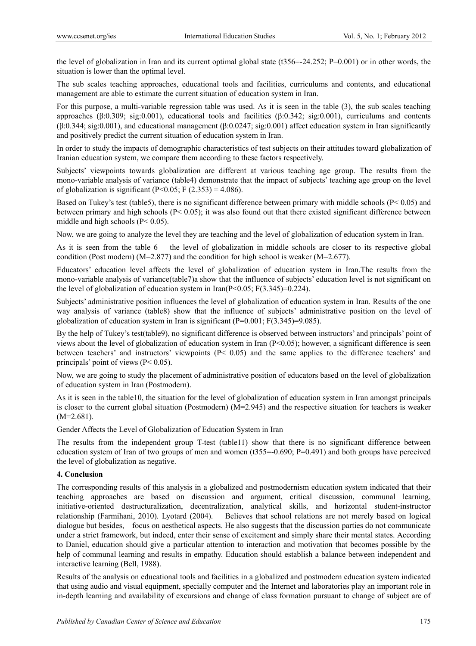the level of globalization in Iran and its current optimal global state (t356=-24.252;  $P=0.001$ ) or in other words, the situation is lower than the optimal level.

The sub scales teaching approaches, educational tools and facilities, curriculums and contents, and educational management are able to estimate the current situation of education system in Iran.

For this purpose, a multi-variable regression table was used. As it is seen in the table (3), the sub scales teaching approaches (β:0.309; sig:0.001), educational tools and facilities (β:0.342; sig:0.001), curriculums and contents  $(\beta: 0.344; \text{sig}: 0.001)$ , and educational management  $(\beta: 0.0247; \text{sig}: 0.001)$  affect education system in Iran significantly and positively predict the current situation of education system in Iran.

In order to study the impacts of demographic characteristics of test subjects on their attitudes toward globalization of Iranian education system, we compare them according to these factors respectively.

Subjects' viewpoints towards globalization are different at various teaching age group. The results from the mono-variable analysis of variance (table4) demonstrate that the impact of subjects' teaching age group on the level of globalization is significant  $(P<0.05; F(2.353) = 4.086)$ .

Based on Tukey's test (table5), there is no significant difference between primary with middle schools ( $P < 0.05$ ) and between primary and high schools (P< 0.05); it was also found out that there existed significant difference between middle and high schools  $(P< 0.05)$ .

Now, we are going to analyze the level they are teaching and the level of globalization of education system in Iran.

As it is seen from the table 6 the level of globalization in middle schools are closer to its respective global condition (Post modern) (M=2.877) and the condition for high school is weaker (M=2.677).

Educators' education level affects the level of globalization of education system in Iran.The results from the mono-variable analysis of variance(table7)a show that the influence of subjects' education level is not significant on the level of globalization of education system in  $\text{tran}(P<0.05; F(3.345)=0.224)$ .

Subjects' administrative position influences the level of globalization of education system in Iran. Results of the one way analysis of variance (table8) show that the influence of subjects' administrative position on the level of globalization of education system in Iran is significant  $(P=0.001; F(3.345)=9.085)$ .

By the help of Tukey's test(table9), no significant difference is observed between instructors' and principals' point of views about the level of globalization of education system in Iran (P<0.05); however, a significant difference is seen between teachers' and instructors' viewpoints (P< 0.05) and the same applies to the difference teachers' and principals' point of views (P< 0.05).

Now, we are going to study the placement of administrative position of educators based on the level of globalization of education system in Iran (Postmodern).

As it is seen in the table10, the situation for the level of globalization of education system in Iran amongst principals is closer to the current global situation (Postmodern) (M=2.945) and the respective situation for teachers is weaker  $(M=2.681)$ .

Gender Affects the Level of Globalization of Education System in Iran

The results from the independent group T-test (table11) show that there is no significant difference between education system of Iran of two groups of men and women  $(1355=-0.690; P=0.491)$  and both groups have perceived the level of globalization as negative.

#### **4. Conclusion**

The corresponding results of this analysis in a globalized and postmodernism education system indicated that their teaching approaches are based on discussion and argument, critical discussion, communal learning, initiative-oriented destructuralization, decentralization, analytical skills, and horizontal student-instructor relationship (Farmihani, 2010). Lyotard (2004). Believes that school relations are not merely based on logical dialogue but besides, focus on aesthetical aspects. He also suggests that the discussion parties do not communicate under a strict framework, but indeed, enter their sense of excitement and simply share their mental states. According to Daniel, education should give a particular attention to interaction and motivation that becomes possible by the help of communal learning and results in empathy. Education should establish a balance between independent and interactive learning (Bell, 1988).

Results of the analysis on educational tools and facilities in a globalized and postmodern education system indicated that using audio and visual equipment, specially computer and the Internet and laboratories play an important role in in-depth learning and availability of excursions and change of class formation pursuant to change of subject are of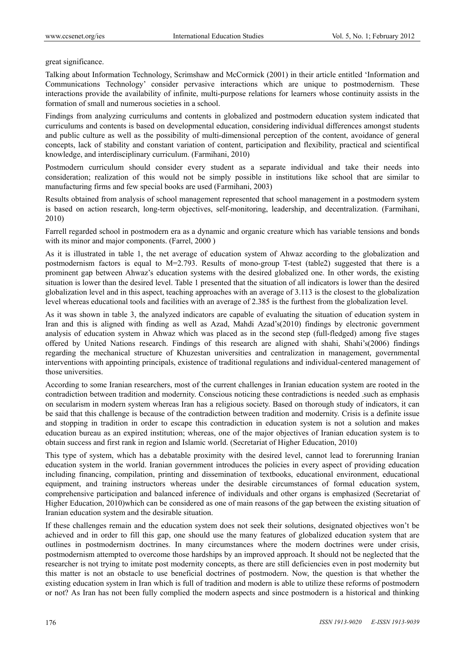great significance.

Talking about Information Technology, Scrimshaw and McCormick (2001) in their article entitled 'Information and Communications Technology' consider pervasive interactions which are unique to postmodernism. These interactions provide the availability of infinite, multi-purpose relations for learners whose continuity assists in the formation of small and numerous societies in a school.

Findings from analyzing curriculums and contents in globalized and postmodern education system indicated that curriculums and contents is based on developmental education, considering individual differences amongst students and public culture as well as the possibility of multi-dimensional perception of the content, avoidance of general concepts, lack of stability and constant variation of content, participation and flexibility, practical and scientifical knowledge, and interdisciplinary curriculum. (Farmihani, 2010)

Postmodern curriculum should consider every student as a separate individual and take their needs into consideration; realization of this would not be simply possible in institutions like school that are similar to manufacturing firms and few special books are used (Farmihani, 2003)

Results obtained from analysis of school management represented that school management in a postmodern system is based on action research, long-term objectives, self-monitoring, leadership, and decentralization. (Farmihani, 2010)

Farrell regarded school in postmodern era as a dynamic and organic creature which has variable tensions and bonds with its minor and major components. (Farrel, 2000)

As it is illustrated in table 1, the net average of education system of Ahwaz according to the globalization and postmodernism factors is equal to M=2.793. Results of mono-group T-test (table2) suggested that there is a prominent gap between Ahwaz's education systems with the desired globalized one. In other words, the existing situation is lower than the desired level. Table 1 presented that the situation of all indicators is lower than the desired globalization level and in this aspect, teaching approaches with an average of 3.113 is the closest to the globalization level whereas educational tools and facilities with an average of 2.385 is the furthest from the globalization level.

As it was shown in table 3, the analyzed indicators are capable of evaluating the situation of education system in Iran and this is aligned with finding as well as Azad, Mahdi Azad's(2010) findings by electronic government analysis of education system in Ahwaz which was placed as in the second step (full-fledged) among five stages offered by United Nations research. Findings of this research are aligned with shahi, Shahi's(2006) findings regarding the mechanical structure of Khuzestan universities and centralization in management, governmental interventions with appointing principals, existence of traditional regulations and individual-centered management of those universities.

According to some Iranian researchers, most of the current challenges in Iranian education system are rooted in the contradiction between tradition and modernity. Conscious noticing these contradictions is needed .such as emphasis on secularism in modern system whereas Iran has a religious society. Based on thorough study of indicators, it can be said that this challenge is because of the contradiction between tradition and modernity. Crisis is a definite issue and stopping in tradition in order to escape this contradiction in education system is not a solution and makes education bureau as an expired institution; whereas, one of the major objectives of Iranian education system is to obtain success and first rank in region and Islamic world. (Secretariat of Higher Education, 2010)

This type of system, which has a debatable proximity with the desired level, cannot lead to forerunning Iranian education system in the world. Iranian government introduces the policies in every aspect of providing education including financing, compilation, printing and dissemination of textbooks, educational environment, educational equipment, and training instructors whereas under the desirable circumstances of formal education system, comprehensive participation and balanced inference of individuals and other organs is emphasized (Secretariat of Higher Education, 2010)which can be considered as one of main reasons of the gap between the existing situation of Iranian education system and the desirable situation.

If these challenges remain and the education system does not seek their solutions, designated objectives won't be achieved and in order to fill this gap, one should use the many features of globalized education system that are outlines in postmodernism doctrines. In many circumstances where the modern doctrines were under crisis, postmodernism attempted to overcome those hardships by an improved approach. It should not be neglected that the researcher is not trying to imitate post modernity concepts, as there are still deficiencies even in post modernity but this matter is not an obstacle to use beneficial doctrines of postmodern. Now, the question is that whether the existing education system in Iran which is full of tradition and modern is able to utilize these reforms of postmodern or not? As Iran has not been fully complied the modern aspects and since postmodern is a historical and thinking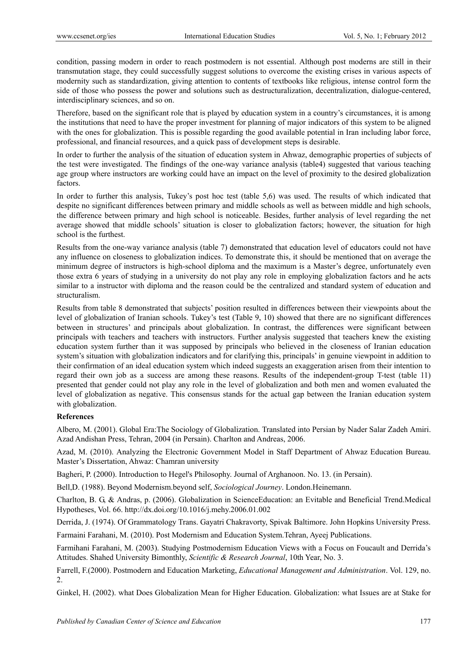condition, passing modern in order to reach postmodern is not essential. Although post moderns are still in their transmutation stage, they could successfully suggest solutions to overcome the existing crises in various aspects of modernity such as standardization, giving attention to contents of textbooks like religious, intense control form the side of those who possess the power and solutions such as destructuralization, decentralization, dialogue-centered, interdisciplinary sciences, and so on.

Therefore, based on the significant role that is played by education system in a country's circumstances, it is among the institutions that need to have the proper investment for planning of major indicators of this system to be aligned with the ones for globalization. This is possible regarding the good available potential in Iran including labor force, professional, and financial resources, and a quick pass of development steps is desirable.

In order to further the analysis of the situation of education system in Ahwaz, demographic properties of subjects of the test were investigated. The findings of the one-way variance analysis (table4) suggested that various teaching age group where instructors are working could have an impact on the level of proximity to the desired globalization factors.

In order to further this analysis, Tukey's post hoc test (table 5,6) was used. The results of which indicated that despite no significant differences between primary and middle schools as well as between middle and high schools, the difference between primary and high school is noticeable. Besides, further analysis of level regarding the net average showed that middle schools' situation is closer to globalization factors; however, the situation for high school is the furthest.

Results from the one-way variance analysis (table 7) demonstrated that education level of educators could not have any influence on closeness to globalization indices. To demonstrate this, it should be mentioned that on average the minimum degree of instructors is high-school diploma and the maximum is a Master's degree, unfortunately even those extra 6 years of studying in a university do not play any role in employing globalization factors and he acts similar to a instructor with diploma and the reason could be the centralized and standard system of education and structuralism.

Results from table 8 demonstrated that subjects' position resulted in differences between their viewpoints about the level of globalization of Iranian schools. Tukey's test (Table 9, 10) showed that there are no significant differences between in structures' and principals about globalization. In contrast, the differences were significant between principals with teachers and teachers with instructors. Further analysis suggested that teachers knew the existing education system further than it was supposed by principals who believed in the closeness of Iranian education system's situation with globalization indicators and for clarifying this, principals' in genuine viewpoint in addition to their confirmation of an ideal education system which indeed suggests an exaggeration arisen from their intention to regard their own job as a success are among these reasons. Results of the independent-group T-test (table 11) presented that gender could not play any role in the level of globalization and both men and women evaluated the level of globalization as negative. This consensus stands for the actual gap between the Iranian education system with globalization.

## **References**

Albero, M. (2001). Global Era:The Sociology of Globalization. Translated into Persian by Nader Salar Zadeh Amiri. Azad Andishan Press, Tehran, 2004 (in Persain). Charlton and Andreas, 2006.

Azad, M. (2010). Analyzing the Electronic Government Model in Staff Department of Ahwaz Education Bureau. Master's Dissertation, Ahwaz: Chamran university

Bagheri, P. (2000). Introduction to Hegel's Philosophy. Journal of Arghanoon. No. 13. (in Persain).

Bell,D. (1988). Beyond Modernism.beyond self, *Sociological Journey*. London.Heinemann.

Charlton, B. G, & Andras, p. (2006). Globalization in ScienceEducation: an Evitable and Beneficial Trend.Medical Hypotheses, Vol. 66. http://dx.doi.org/10.1016/j.mehy.2006.01.002

Derrida, J. (1974). Of Grammatology Trans. Gayatri Chakravorty, Spivak Baltimore. John Hopkins University Press.

Farmaini Farahani, M. (2010). Post Modernism and Education System.Tehran, Ayeej Publications.

Farmihani Farahani, M. (2003). Studying Postmodernism Education Views with a Focus on Foucault and Derrida's Attitudes. Shahed University Bimonthly, *Scientific & Research Journal*, 10th Year, No. 3.

Farrell, F.(2000). Postmodern and Education Marketing, *Educational Management and Administration*. Vol. 129, no. 2.

Ginkel, H. (2002). what Does Globalization Mean for Higher Education. Globalization: what Issues are at Stake for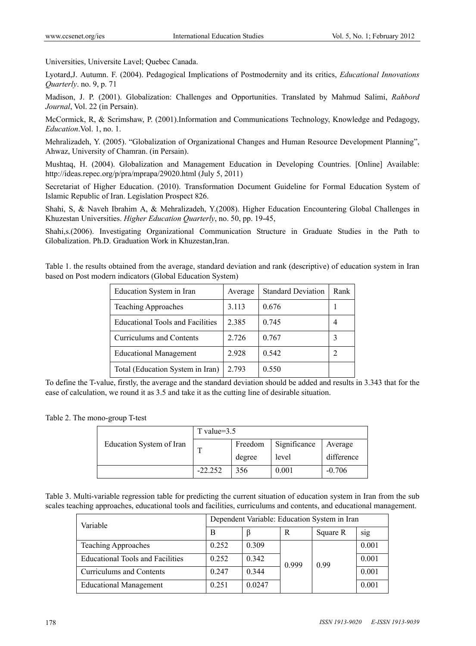Universities, Universite Lavel; Quebec Canada.

Lyotard,J. Autumn. F. (2004). Pedagogical Implications of Postmodernity and its critics, *Educational Innovations Quarterly*. no. 9, p. 71

Madison, J. P. (2001). Globalization: Challenges and Opportunities. Translated by Mahmud Salimi, *Rahbord Journal*, Vol. 22 (in Persain).

McCormick, R, & Scrimshaw, P. (2001).Information and Communications Technology, Knowledge and Pedagogy, *Education*.Vol. 1, no. 1.

Mehralizadeh, Y. (2005). "Globalization of Organizational Changes and Human Resource Development Planning", Ahwaz, University of Chamran. (in Persain).

Mushtaq, H. (2004). Globalization and Management Education in Developing Countries. [Online] Available: http://ideas.repec.org/p/pra/mprapa/29020.html (July 5, 2011)

Secretariat of Higher Education. (2010). Transformation Document Guideline for Formal Education System of Islamic Republic of Iran. Legislation Prospect 826.

Shahi, S, & Naveh Ibrahim A, & Mehralizadeh, Y.(2008). Higher Education Encountering Global Challenges in Khuzestan Universities. *Higher Education Quarterly*, no. 50, pp. 19-45,

Shahi,s.(2006). Investigating Organizational Communication Structure in Graduate Studies in the Path to Globalization. Ph.D. Graduation Work in Khuzestan,Iran.

Table 1. the results obtained from the average, standard deviation and rank (descriptive) of education system in Iran based on Post modern indicators (Global Education System)

| Education System in Iran                | Average | <b>Standard Deviation</b> | Rank |
|-----------------------------------------|---------|---------------------------|------|
| <b>Teaching Approaches</b>              | 3.113   | 0.676                     |      |
| <b>Educational Tools and Facilities</b> | 2.385   | 0.745                     | 4    |
| <b>Curriculums and Contents</b>         | 2.726   | 0.767                     |      |
| <b>Educational Management</b>           | 2.928   | 0.542                     |      |
| Total (Education System in Iran)        | 2.793   | 0.550                     |      |

To define the T-value, firstly, the average and the standard deviation should be added and results in 3.343 that for the ease of calculation, we round it as 3.5 and take it as the cutting line of desirable situation.

Table 2. The mono-group T-test

| Education System of Iran | T value= $3.5$ |         |              |            |  |
|--------------------------|----------------|---------|--------------|------------|--|
|                          | ᠇᠇             | Freedom | Significance | Average    |  |
|                          |                | degree  | level        | difference |  |
|                          | $-22.252$      | 356     | 0.001        | $-0.706$   |  |

Table 3. Multi-variable regression table for predicting the current situation of education system in Iran from the sub scales teaching approaches, educational tools and facilities, curriculums and contents, and educational management.

| Variable                                | Dependent Variable: Education System in Iran |        |       |          |       |  |
|-----------------------------------------|----------------------------------------------|--------|-------|----------|-------|--|
|                                         |                                              |        | R     | Square R | sig   |  |
| <b>Teaching Approaches</b>              | 0.252                                        | 0.309  |       |          | 0.001 |  |
| <b>Educational Tools and Facilities</b> | 0.252                                        | 0.342  | 0.999 | 0.99     | 0.001 |  |
| Curriculums and Contents                | 0.247                                        | 0.344  |       |          | 0.001 |  |
| <b>Educational Management</b>           | 0.251                                        | 0.0247 |       |          | 0.001 |  |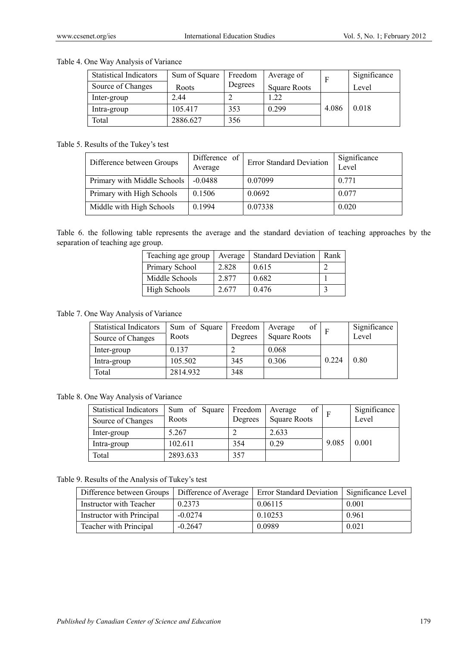## Table 4. One Way Analysis of Variance

| <b>Statistical Indicators</b> | Sum of Square | Freedom | Average of   | E     | Significance |
|-------------------------------|---------------|---------|--------------|-------|--------------|
| Source of Changes             | Roots         | Degrees | Square Roots |       | Level        |
| Inter-group                   | 2.44          |         | .22          |       |              |
| Intra-group                   | 105.417       | 353     | 0.299        | 4.086 | 0.018        |
| Total                         | 2886.627      | 356     |              |       |              |

## Table 5. Results of the Tukey's test

| Difference between Groups   | Difference of<br>Average | <b>Error Standard Deviation</b> | Significance<br>Level |
|-----------------------------|--------------------------|---------------------------------|-----------------------|
| Primary with Middle Schools | $-0.0488$                | 0.07099                         | 0.771                 |
| Primary with High Schools   | 0.1506                   | 0.0692                          | 0.077                 |
| Middle with High Schools    | 0.1994                   | 0.07338                         | 0.020                 |

Table 6. the following table represents the average and the standard deviation of teaching approaches by the separation of teaching age group.

| Teaching age group | Average | <b>Standard Deviation</b> | Rank |
|--------------------|---------|---------------------------|------|
| Primary School     | 2.828   | 0.615                     |      |
| Middle Schools     | 2877    | 0.682                     |      |
| High Schools       | 2.677   | 0.476                     |      |

Table 7. One Way Analysis of Variance

| <b>Statistical Indicators</b><br>Source of Changes | Sum of Square<br>Roots | Freedom<br>Degrees | of<br>Average<br><b>Square Roots</b> | F     | Significance<br>Level |
|----------------------------------------------------|------------------------|--------------------|--------------------------------------|-------|-----------------------|
| Inter-group                                        | 0.137                  |                    | 0.068                                |       |                       |
| Intra-group                                        | 105.502                | 345                | 0.306                                | 0.224 | 0.80                  |
| Total                                              | 2814.932               | 348                |                                      |       |                       |

Table 8. One Way Analysis of Variance

| <b>Statistical Indicators</b> | Sum of Square | Freedom | of<br>Average       |       | Significance |
|-------------------------------|---------------|---------|---------------------|-------|--------------|
| Source of Changes             | Roots         | Degrees | <b>Square Roots</b> |       | Level        |
| Inter-group                   | 5.267         |         | 2.633               |       |              |
| Intra-group                   | 102.611       | 354     | 0.29                | 9.085 | 0.001        |
| Total                         | 2893.633      | 357     |                     |       |              |

Table 9. Results of the Analysis of Tukey's test

| Difference between Groups   Difference of Average |           | Error Standard Deviation | Significance Level |
|---------------------------------------------------|-----------|--------------------------|--------------------|
| Instructor with Teacher                           | 0.2373    | 0.06115                  | 0.001              |
| Instructor with Principal                         | $-0.0274$ | 0.10253                  | 0.961              |
| Teacher with Principal                            | $-0.2647$ | 0.0989                   | 0.021              |